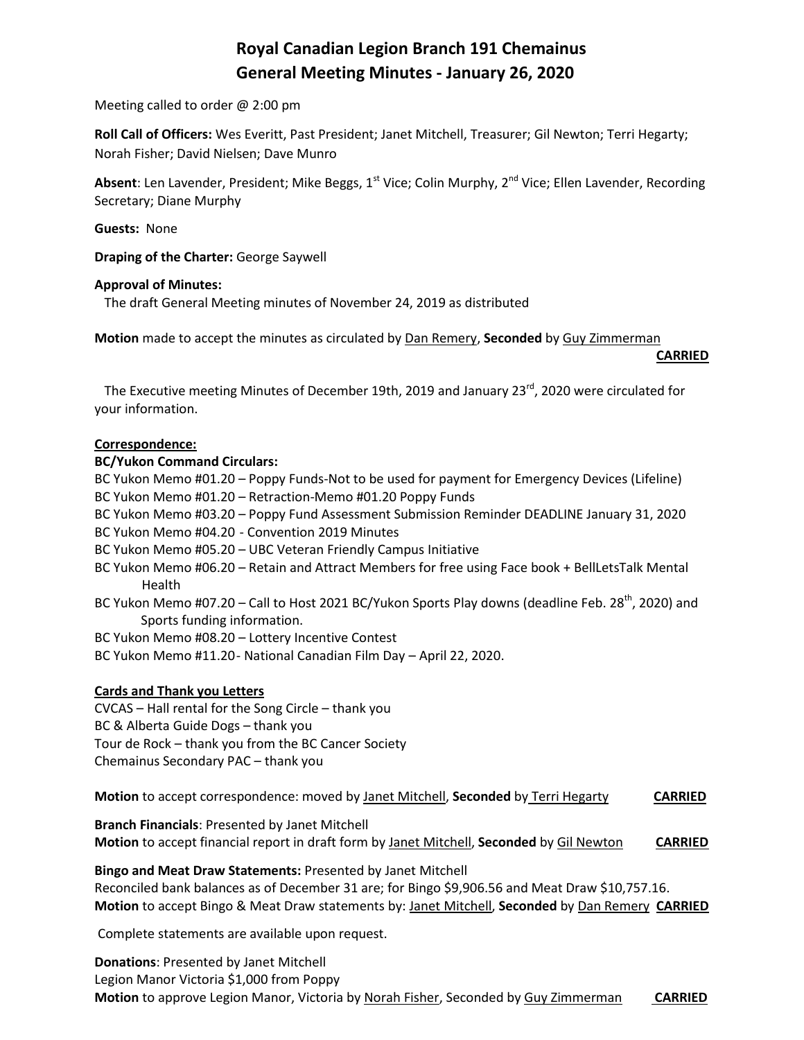# **Royal Canadian Legion Branch 191 Chemainus General Meeting Minutes - January 26, 2020**

Meeting called to order @ 2:00 pm

**Roll Call of Officers:** Wes Everitt, Past President; Janet Mitchell, Treasurer; Gil Newton; Terri Hegarty; Norah Fisher; David Nielsen; Dave Munro

Absent: Len Lavender, President; Mike Beggs, 1<sup>st</sup> Vice; Colin Murphy, 2<sup>nd</sup> Vice; Ellen Lavender, Recording Secretary; Diane Murphy

**Guests:** None

**Draping of the Charter:** George Saywell

## **Approval of Minutes:**

The draft General Meeting minutes of November 24, 2019 as distributed

**Motion** made to accept the minutes as circulated by Dan Remery, **Seconded** by Guy Zimmerman

#### **CARRIED**

The Executive meeting Minutes of December 19th, 2019 and January 23<sup>rd</sup>, 2020 were circulated for your information.

## **Correspondence:**

## **BC/Yukon Command Circulars:**

BC Yukon Memo #01.20 – Poppy Funds-Not to be used for payment for Emergency Devices (Lifeline) BC Yukon Memo #01.20 – Retraction-Memo #01.20 Poppy Funds

BC Yukon Memo #03.20 – Poppy Fund Assessment Submission Reminder DEADLINE January 31, 2020

- BC Yukon Memo #04.20 Convention 2019 Minutes
- BC Yukon Memo #05.20 UBC Veteran Friendly Campus Initiative
- BC Yukon Memo #06.20 Retain and Attract Members for free using Face book + BellLetsTalk Mental Health
- BC Yukon Memo #07.20 Call to Host 2021 BC/Yukon Sports Play downs (deadline Feb. 28<sup>th</sup>, 2020) and Sports funding information.
- BC Yukon Memo #08.20 Lottery Incentive Contest
- BC Yukon Memo #11.20- National Canadian Film Day April 22, 2020.

## **Cards and Thank you Letters**

CVCAS – Hall rental for the Song Circle – thank you BC & Alberta Guide Dogs – thank you Tour de Rock – thank you from the BC Cancer Society Chemainus Secondary PAC – thank you

**Motion** to accept correspondence: moved by Janet Mitchell, **Seconded** by Terri Hegarty **CARRIED**

**Branch Financials**: Presented by Janet Mitchell **Motion** to accept financial report in draft form by Janet Mitchell, **Seconded** by Gil Newton **CARRIED**

**Bingo and Meat Draw Statements:** Presented by Janet Mitchell Reconciled bank balances as of December 31 are; for Bingo \$9,906.56 and Meat Draw \$10,757.16. **Motion** to accept Bingo & Meat Draw statements by: Janet Mitchell, **Seconded** by Dan Remery **CARRIED**

Complete statements are available upon request.

**Donations**: Presented by Janet Mitchell Legion Manor Victoria \$1,000 from Poppy **Motion** to approve Legion Manor, Victoria by Norah Fisher, Seconded by Guy Zimmerman **CARRIED**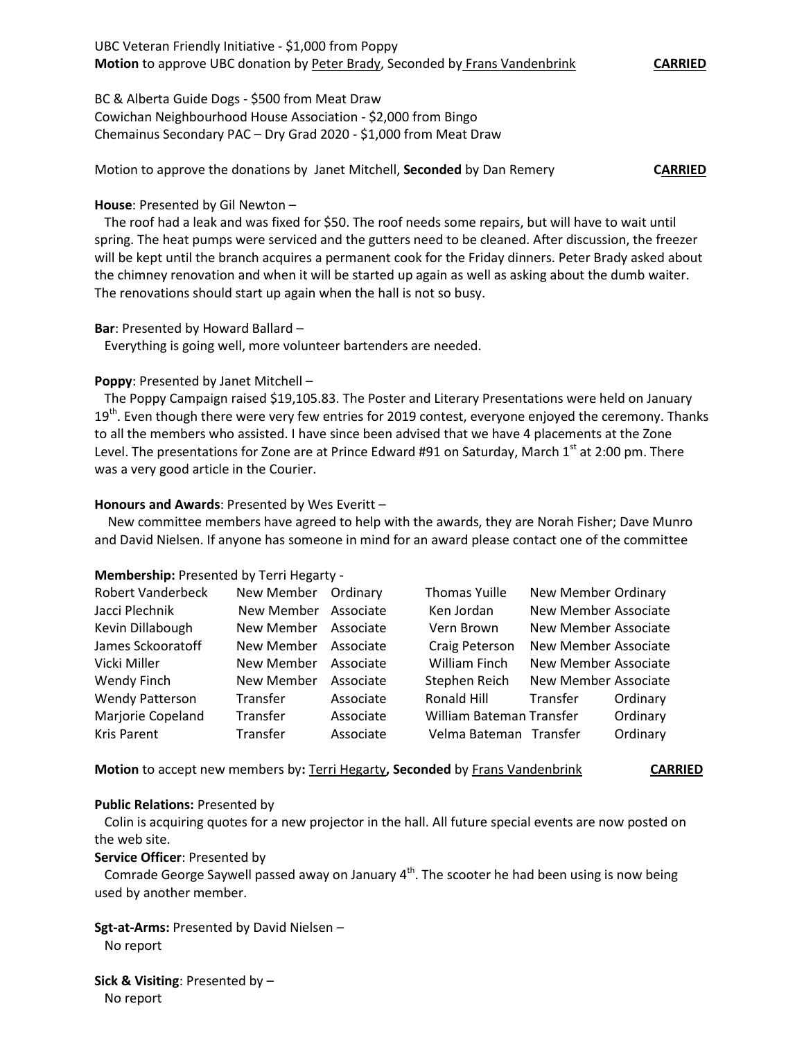#### BC & Alberta Guide Dogs - \$500 from Meat Draw

Cowichan Neighbourhood House Association - \$2,000 from Bingo Chemainus Secondary PAC – Dry Grad 2020 - \$1,000 from Meat Draw

Motion to approve the donations by Janet Mitchell, **Seconded** by Dan Remery **CARRIED**

### **House**: Presented by Gil Newton –

 The roof had a leak and was fixed for \$50. The roof needs some repairs, but will have to wait until spring. The heat pumps were serviced and the gutters need to be cleaned. After discussion, the freezer will be kept until the branch acquires a permanent cook for the Friday dinners. Peter Brady asked about the chimney renovation and when it will be started up again as well as asking about the dumb waiter. The renovations should start up again when the hall is not so busy.

#### **Bar**: Presented by Howard Ballard –

Everything is going well, more volunteer bartenders are needed.

### **Poppy**: Presented by Janet Mitchell –

The Poppy Campaign raised \$19,105.83. The Poster and Literary Presentations were held on January 19<sup>th</sup>. Even though there were very few entries for 2019 contest, everyone enjoyed the ceremony. Thanks to all the members who assisted. I have since been advised that we have 4 placements at the Zone Level. The presentations for Zone are at Prince Edward #91 on Saturday, March  $1<sup>st</sup>$  at 2:00 pm. There was a very good article in the Courier.

#### **Honours and Awards**: Presented by Wes Everitt –

 New committee members have agreed to help with the awards, they are Norah Fisher; Dave Munro and David Nielsen. If anyone has someone in mind for an award please contact one of the committee

#### **Membership:** Presented by Terri Hegarty -

| <b>Robert Vanderbeck</b> | New Member | Ordinary  | <b>Thomas Yuille</b>     | New Member Ordinary  |          |
|--------------------------|------------|-----------|--------------------------|----------------------|----------|
| Jacci Plechnik           | New Member | Associate | Ken Jordan               | New Member Associate |          |
| Kevin Dillabough         | New Member | Associate | Vern Brown               | New Member Associate |          |
| James Sckooratoff        | New Member | Associate | Craig Peterson           | New Member Associate |          |
| Vicki Miller             | New Member | Associate | <b>William Finch</b>     | New Member Associate |          |
| Wendy Finch              | New Member | Associate | Stephen Reich            | New Member Associate |          |
| <b>Wendy Patterson</b>   | Transfer   | Associate | Ronald Hill              | Transfer             | Ordinary |
| Marjorie Copeland        | Transfer   | Associate | William Bateman Transfer |                      | Ordinary |
| <b>Kris Parent</b>       | Transfer   | Associate | Velma Bateman Transfer   |                      | Ordinary |

**Motion** to accept new members by: Terri Hegarty, **Seconded** by Frans Vandenbrink **CARRIED** 

#### **Public Relations:** Presented by

 Colin is acquiring quotes for a new projector in the hall. All future special events are now posted on the web site.

### **Service Officer**: Presented by

Comrade George Saywell passed away on January 4<sup>th</sup>. The scooter he had been using is now being used by another member.

### **Sgt-at-Arms:** Presented by David Nielsen –

No report

**Sick & Visiting**: Presented by – No report